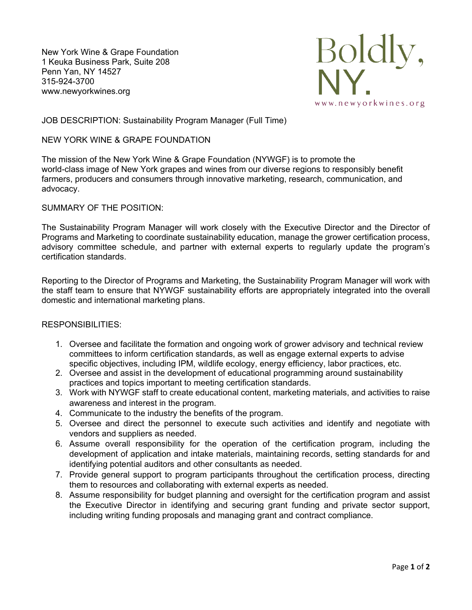New York Wine & Grape Foundation 1 Keuka Business Park, Suite 208 Penn Yan, NY 14527 315-924-3700 www.newyorkwines.org



# JOB DESCRIPTION: Sustainability Program Manager (Full Time)

# NEW YORK WINE & GRAPE FOUNDATION

The mission of the New York Wine & Grape Foundation (NYWGF) is to promote the world-class image of New York grapes and wines from our diverse regions to responsibly benefit farmers, producers and consumers through innovative marketing, research, communication, and advocacy.

## SUMMARY OF THE POSITION:

The Sustainability Program Manager will work closely with the Executive Director and the Director of Programs and Marketing to coordinate sustainability education, manage the grower certification process, advisory committee schedule, and partner with external experts to regularly update the program's certification standards.

Reporting to the Director of Programs and Marketing, the Sustainability Program Manager will work with the staff team to ensure that NYWGF sustainability efforts are appropriately integrated into the overall domestic and international marketing plans.

#### RESPONSIBILITIES:

- 1. Oversee and facilitate the formation and ongoing work of grower advisory and technical review committees to inform certification standards, as well as engage external experts to advise specific objectives, including IPM, wildlife ecology, energy efficiency, labor practices, etc.
- 2. Oversee and assist in the development of educational programming around sustainability practices and topics important to meeting certification standards.
- 3. Work with NYWGF staff to create educational content, marketing materials, and activities to raise awareness and interest in the program.
- 4. Communicate to the industry the benefits of the program.
- 5. Oversee and direct the personnel to execute such activities and identify and negotiate with vendors and suppliers as needed.
- 6. Assume overall responsibility for the operation of the certification program, including the development of application and intake materials, maintaining records, setting standards for and identifying potential auditors and other consultants as needed.
- 7. Provide general support to program participants throughout the certification process, directing them to resources and collaborating with external experts as needed.
- 8. Assume responsibility for budget planning and oversight for the certification program and assist the Executive Director in identifying and securing grant funding and private sector support, including writing funding proposals and managing grant and contract compliance.